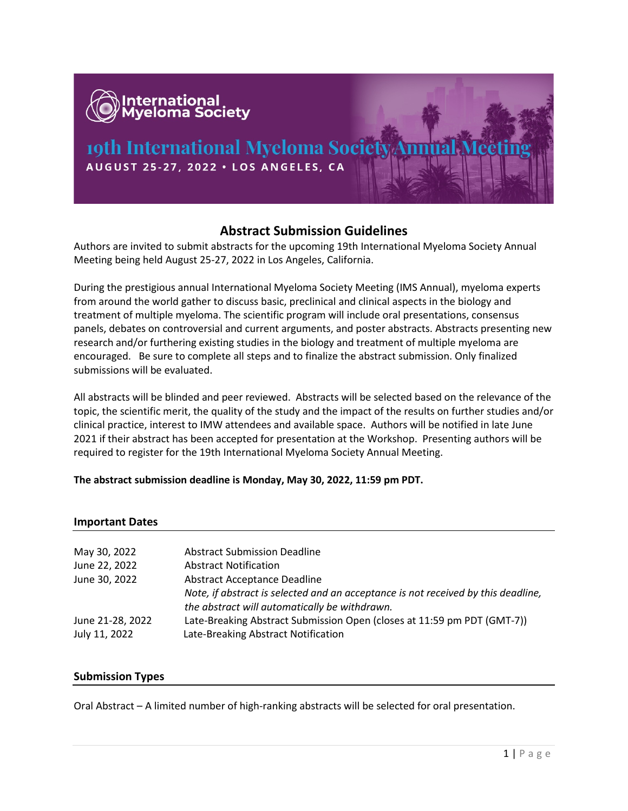

# **Abstract Submission Guidelines**

Authors are invited to submit abstracts for the upcoming 19th International Myeloma Society Annual Meeting being held August 25-27, 2022 in Los Angeles, California.

During the prestigious annual International Myeloma Society Meeting (IMS Annual), myeloma experts from around the world gather to discuss basic, preclinical and clinical aspects in the biology and treatment of multiple myeloma. The scientific program will include oral presentations, consensus panels, debates on controversial and current arguments, and poster abstracts. Abstracts presenting new research and/or furthering existing studies in the biology and treatment of multiple myeloma are encouraged. Be sure to complete all steps and to finalize the abstract submission. Only finalized submissions will be evaluated.

All abstracts will be blinded and peer reviewed. Abstracts will be selected based on the relevance of the topic, the scientific merit, the quality of the study and the impact of the results on further studies and/or clinical practice, interest to IMW attendees and available space. Authors will be notified in late June 2021 if their abstract has been accepted for presentation at the Workshop. Presenting authors will be required to register for the 19th International Myeloma Society Annual Meeting.

#### **The abstract submission deadline is Monday, May 30, 2022, 11:59 pm PDT.**

#### **Important Dates**

| May 30, 2022                      | <b>Abstract Submission Deadline</b>                                                                            |
|-----------------------------------|----------------------------------------------------------------------------------------------------------------|
| June 22, 2022                     | <b>Abstract Notification</b>                                                                                   |
| June 30, 2022                     | <b>Abstract Acceptance Deadline</b>                                                                            |
|                                   | Note, if abstract is selected and an acceptance is not received by this deadline,                              |
|                                   | the abstract will automatically be withdrawn.                                                                  |
| June 21-28, 2022<br>July 11, 2022 | Late-Breaking Abstract Submission Open (closes at 11:59 pm PDT (GMT-7))<br>Late-Breaking Abstract Notification |
|                                   |                                                                                                                |

#### **Submission Types**

Oral Abstract – A limited number of high-ranking abstracts will be selected for oral presentation.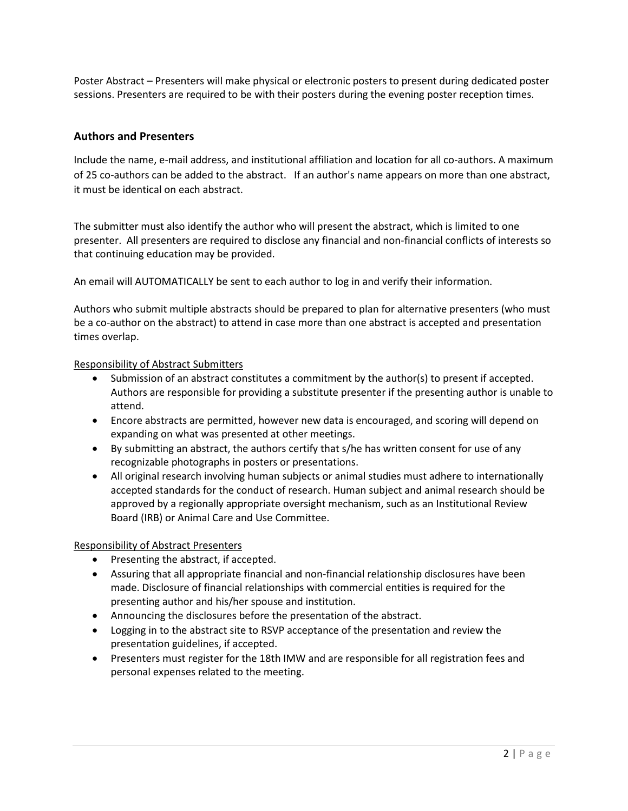Poster Abstract – Presenters will make physical or electronic posters to present during dedicated poster sessions. Presenters are required to be with their posters during the evening poster reception times.

### **Authors and Presenters**

Include the name, e-mail address, and institutional affiliation and location for all co-authors. A maximum of 25 co-authors can be added to the abstract. If an author's name appears on more than one abstract, it must be identical on each abstract.

The submitter must also identify the author who will present the abstract, which is limited to one presenter. All presenters are required to disclose any financial and non-financial conflicts of interests so that continuing education may be provided.

An email will AUTOMATICALLY be sent to each author to log in and verify their information.

Authors who submit multiple abstracts should be prepared to plan for alternative presenters (who must be a co-author on the abstract) to attend in case more than one abstract is accepted and presentation times overlap.

#### Responsibility of Abstract Submitters

- Submission of an abstract constitutes a commitment by the author(s) to present if accepted. Authors are responsible for providing a substitute presenter if the presenting author is unable to attend.
- Encore abstracts are permitted, however new data is encouraged, and scoring will depend on expanding on what was presented at other meetings.
- By submitting an abstract, the authors certify that s/he has written consent for use of any recognizable photographs in posters or presentations.
- All original research involving human subjects or animal studies must adhere to internationally accepted standards for the conduct of research. Human subject and animal research should be approved by a regionally appropriate oversight mechanism, such as an Institutional Review Board (IRB) or Animal Care and Use Committee.

#### Responsibility of Abstract Presenters

- Presenting the abstract, if accepted.
- Assuring that all appropriate financial and non-financial relationship disclosures have been made. Disclosure of financial relationships with commercial entities is required for the presenting author and his/her spouse and institution.
- Announcing the disclosures before the presentation of the abstract.
- Logging in to the abstract site to RSVP acceptance of the presentation and review the presentation guidelines, if accepted.
- Presenters must register for the 18th IMW and are responsible for all registration fees and personal expenses related to the meeting.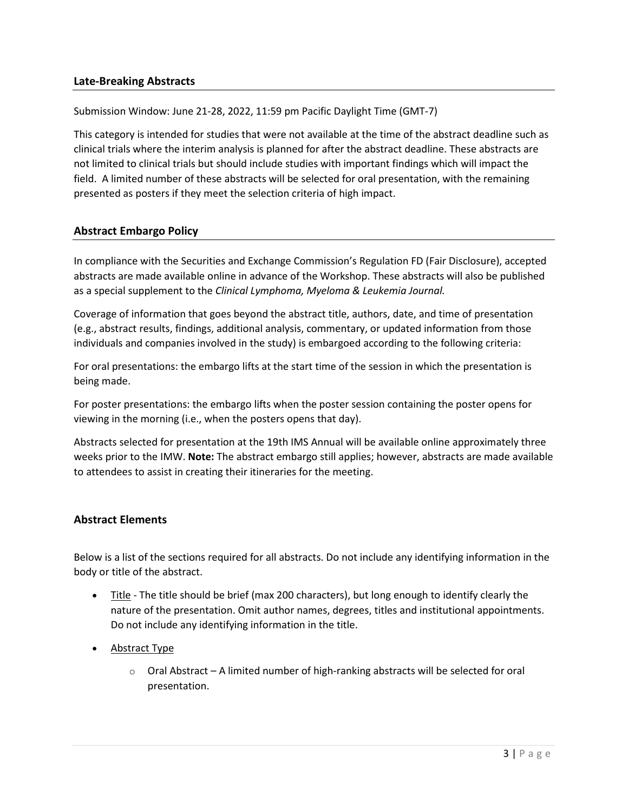### **Late-Breaking Abstracts**

Submission Window: June 21-28, 2022, 11:59 pm Pacific Daylight Time (GMT-7)

This category is intended for studies that were not available at the time of the abstract deadline such as clinical trials where the interim analysis is planned for after the abstract deadline. These abstracts are not limited to clinical trials but should include studies with important findings which will impact the field. A limited number of these abstracts will be selected for oral presentation, with the remaining presented as posters if they meet the selection criteria of high impact.

# **Abstract Embargo Policy**

In compliance with the Securities and Exchange Commission's Regulation FD (Fair Disclosure), accepted abstracts are made available online in advance of the Workshop. These abstracts will also be published as a special supplement to the *Clinical Lymphoma, Myeloma & Leukemia Journal.*

Coverage of information that goes beyond the abstract title, authors, date, and time of presentation (e.g., abstract results, findings, additional analysis, commentary, or updated information from those individuals and companies involved in the study) is embargoed according to the following criteria:

For oral presentations: the embargo lifts at the start time of the session in which the presentation is being made.

For poster presentations: the embargo lifts when the poster session containing the poster opens for viewing in the morning (i.e., when the posters opens that day).

Abstracts selected for presentation at the 19th IMS Annual will be available online approximately three weeks prior to the IMW. **Note:** The abstract embargo still applies; however, abstracts are made available to attendees to assist in creating their itineraries for the meeting.

## **Abstract Elements**

Below is a list of the sections required for all abstracts. Do not include any identifying information in the body or title of the abstract.

- Title The title should be brief (max 200 characters), but long enough to identify clearly the nature of the presentation. Omit author names, degrees, titles and institutional appointments. Do not include any identifying information in the title.
- Abstract Type
	- $\circ$  Oral Abstract A limited number of high-ranking abstracts will be selected for oral presentation.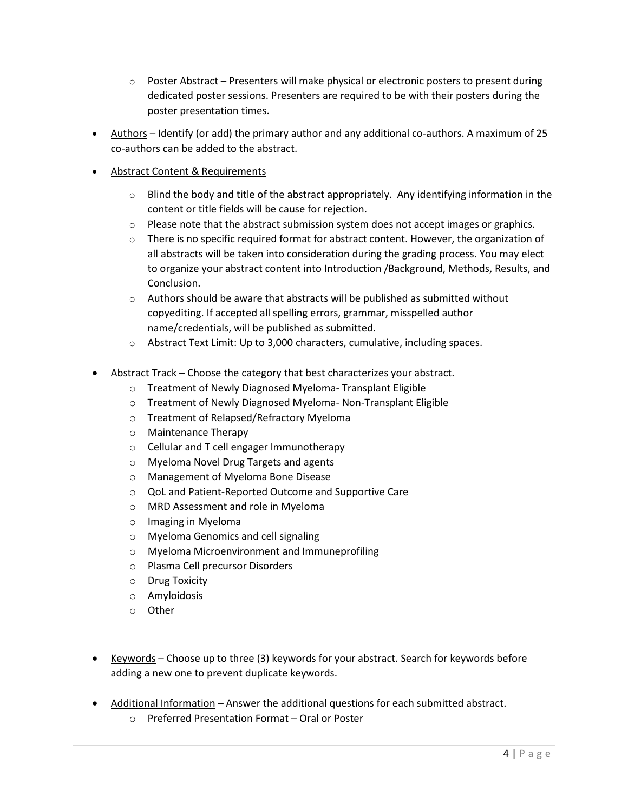- $\circ$  Poster Abstract Presenters will make physical or electronic posters to present during dedicated poster sessions. Presenters are required to be with their posters during the poster presentation times.
- Authors Identify (or add) the primary author and any additional co-authors. A maximum of 25 co-authors can be added to the abstract.
- Abstract Content & Requirements
	- $\circ$  Blind the body and title of the abstract appropriately. Any identifying information in the content or title fields will be cause for rejection.
	- $\circ$  Please note that the abstract submission system does not accept images or graphics.
	- $\circ$  There is no specific required format for abstract content. However, the organization of all abstracts will be taken into consideration during the grading process. You may elect to organize your abstract content into Introduction /Background, Methods, Results, and Conclusion.
	- $\circ$  Authors should be aware that abstracts will be published as submitted without copyediting. If accepted all spelling errors, grammar, misspelled author name/credentials, will be published as submitted.
	- o Abstract Text Limit: Up to 3,000 characters, cumulative, including spaces.
- Abstract Track Choose the category that best characterizes your abstract.
	- o Treatment of Newly Diagnosed Myeloma- Transplant Eligible
	- o Treatment of Newly Diagnosed Myeloma- Non-Transplant Eligible
	- o Treatment of Relapsed/Refractory Myeloma
	- o Maintenance Therapy
	- o Cellular and T cell engager Immunotherapy
	- o Myeloma Novel Drug Targets and agents
	- o Management of Myeloma Bone Disease
	- o QoL and Patient-Reported Outcome and Supportive Care
	- o MRD Assessment and role in Myeloma
	- o Imaging in Myeloma
	- o Myeloma Genomics and cell signaling
	- o Myeloma Microenvironment and Immuneprofiling
	- o Plasma Cell precursor Disorders
	- o Drug Toxicity
	- o Amyloidosis
	- o Other
- Keywords Choose up to three (3) keywords for your abstract. Search for keywords before adding a new one to prevent duplicate keywords.
- Additional Information Answer the additional questions for each submitted abstract.
	- o Preferred Presentation Format Oral or Poster